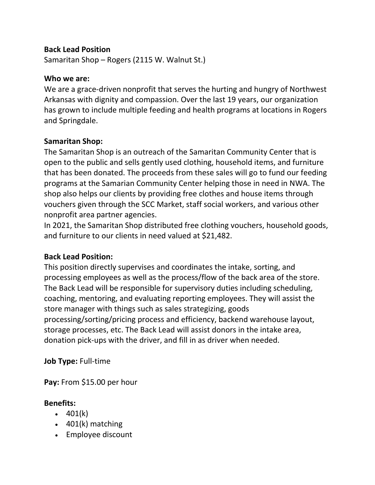# **Back Lead Position**

Samaritan Shop – Rogers (2115 W. Walnut St.)

## **Who we are:**

We are a grace-driven nonprofit that serves the hurting and hungry of Northwest Arkansas with dignity and compassion. Over the last 19 years, our organization has grown to include multiple feeding and health programs at locations in Rogers and Springdale.

# **Samaritan Shop:**

The Samaritan Shop is an outreach of the Samaritan Community Center that is open to the public and sells gently used clothing, household items, and furniture that has been donated. The proceeds from these sales will go to fund our feeding programs at the Samarian Community Center helping those in need in NWA. The shop also helps our clients by providing free clothes and house items through vouchers given through the SCC Market, staff social workers, and various other nonprofit area partner agencies.

In 2021, the Samaritan Shop distributed free clothing vouchers, household goods, and furniture to our clients in need valued at \$21,482.

# **Back Lead Position:**

This position directly supervises and coordinates the intake, sorting, and processing employees as well as the process/flow of the back area of the store. The Back Lead will be responsible for supervisory duties including scheduling, coaching, mentoring, and evaluating reporting employees. They will assist the store manager with things such as sales strategizing, goods processing/sorting/pricing process and efficiency, backend warehouse layout, storage processes, etc. The Back Lead will assist donors in the intake area, donation pick-ups with the driver, and fill in as driver when needed.

# **Job Type:** Full-time

**Pay:** From \$15.00 per hour

# **Benefits:**

- $-401(k)$
- 401(k) matching
- Employee discount